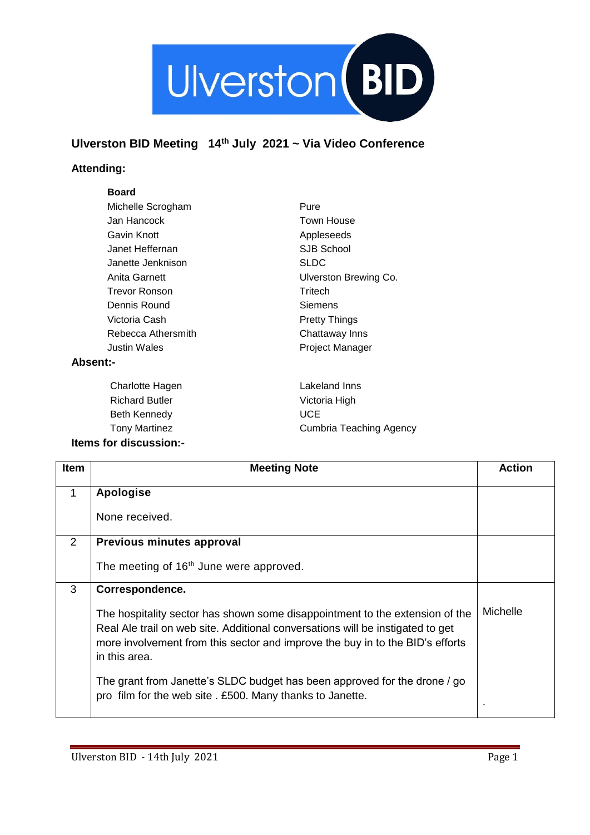

## **Ulverston BID Meeting 14th July 2021 ~ Via Video Conference**

## **Attending:**

## **Board**

| Michelle Scrogham     | Pure                    |
|-----------------------|-------------------------|
| Jan Hancock           | Town House              |
| Gavin Knott           | Appleseeds              |
| Janet Heffernan       | SJB School              |
| Janette Jenknison     | <b>SLDC</b>             |
| Anita Garnett         | Ulverston Brewing Co.   |
| <b>Trevor Ronson</b>  | Tritech                 |
| Dennis Round          | Siemens                 |
| Victoria Cash         | <b>Pretty Things</b>    |
| Rebecca Athersmith    | Chattaway Inns          |
| Justin Wales          | Project Manager         |
| <b>Absent:-</b>       |                         |
| Charlotte Hagen       | Lakeland Inns           |
| <b>Richard Butler</b> | Victoria High           |
| Beth Kennedy          | <b>UCE</b>              |
| <b>Tony Martinez</b>  | Cumbria Teaching Agency |

## **Items for discussion:-**

| Item | <b>Meeting Note</b>                                                                                                                                                                                                                                              | <b>Action</b>  |
|------|------------------------------------------------------------------------------------------------------------------------------------------------------------------------------------------------------------------------------------------------------------------|----------------|
|      | Apologise                                                                                                                                                                                                                                                        |                |
|      | None received.                                                                                                                                                                                                                                                   |                |
| 2    | Previous minutes approval                                                                                                                                                                                                                                        |                |
|      | The meeting of 16 <sup>th</sup> June were approved.                                                                                                                                                                                                              |                |
| 3    | Correspondence.                                                                                                                                                                                                                                                  |                |
|      | The hospitality sector has shown some disappointment to the extension of the<br>Real Ale trail on web site. Additional conversations will be instigated to get<br>more involvement from this sector and improve the buy in to the BID's efforts<br>in this area. | Michelle       |
|      | The grant from Janette's SLDC budget has been approved for the drone / go<br>pro film for the web site . £500. Many thanks to Janette.                                                                                                                           | $\blacksquare$ |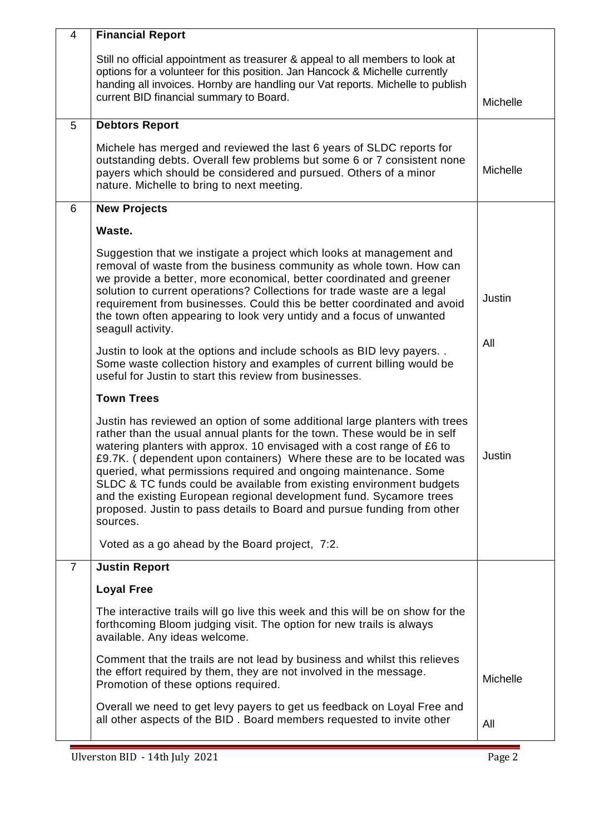| $\overline{4}$ | <b>Financial Report</b>                                                                                                                                                                                                                                                                                                                                                                                                                                                                                                                                                                                            |                 |
|----------------|--------------------------------------------------------------------------------------------------------------------------------------------------------------------------------------------------------------------------------------------------------------------------------------------------------------------------------------------------------------------------------------------------------------------------------------------------------------------------------------------------------------------------------------------------------------------------------------------------------------------|-----------------|
|                | Still no official appointment as treasurer & appeal to all members to look at<br>options for a volunteer for this position. Jan Hancock & Michelle currently<br>handing all invoices. Hornby are handling our Vat reports. Michelle to publish<br>current BID financial summary to Board.                                                                                                                                                                                                                                                                                                                          | Michelle        |
| 5              | <b>Debtors Report</b>                                                                                                                                                                                                                                                                                                                                                                                                                                                                                                                                                                                              |                 |
|                | Michele has merged and reviewed the last 6 years of SLDC reports for<br>outstanding debts. Overall few problems but some 6 or 7 consistent none<br>payers which should be considered and pursued. Others of a minor<br>nature. Michelle to bring to next meeting.                                                                                                                                                                                                                                                                                                                                                  | Michelle        |
| 6              | <b>New Projects</b>                                                                                                                                                                                                                                                                                                                                                                                                                                                                                                                                                                                                |                 |
|                | Waste.                                                                                                                                                                                                                                                                                                                                                                                                                                                                                                                                                                                                             |                 |
|                | Suggestion that we instigate a project which looks at management and<br>removal of waste from the business community as whole town. How can<br>we provide a better, more economical, better coordinated and greener<br>solution to current operations? Collections for trade waste are a legal<br>requirement from businesses. Could this be better coordinated and avoid<br>the town often appearing to look very untidy and a focus of unwanted<br>seagull activity.                                                                                                                                             | Justin          |
|                | Justin to look at the options and include schools as BID levy payers<br>Some waste collection history and examples of current billing would be<br>useful for Justin to start this review from businesses.                                                                                                                                                                                                                                                                                                                                                                                                          | All             |
|                | <b>Town Trees</b>                                                                                                                                                                                                                                                                                                                                                                                                                                                                                                                                                                                                  |                 |
|                | Justin has reviewed an option of some additional large planters with trees<br>rather than the usual annual plants for the town. These would be in self<br>watering planters with approx. 10 envisaged with a cost range of £6 to<br>£9.7K. (dependent upon containers) Where these are to be located was<br>queried, what permissions required and ongoing maintenance. Some<br>SLDC & TC funds could be available from existing environment budgets<br>and the existing European regional development fund. Sycamore trees<br>proposed. Justin to pass details to Board and pursue funding from other<br>sources. | Justin          |
|                | Voted as a go ahead by the Board project, 7:2.                                                                                                                                                                                                                                                                                                                                                                                                                                                                                                                                                                     |                 |
| 7              | <b>Justin Report</b>                                                                                                                                                                                                                                                                                                                                                                                                                                                                                                                                                                                               |                 |
|                | <b>Loyal Free</b>                                                                                                                                                                                                                                                                                                                                                                                                                                                                                                                                                                                                  |                 |
|                | The interactive trails will go live this week and this will be on show for the<br>forthcoming Bloom judging visit. The option for new trails is always<br>available. Any ideas welcome.                                                                                                                                                                                                                                                                                                                                                                                                                            |                 |
|                | Comment that the trails are not lead by business and whilst this relieves<br>the effort required by them, they are not involved in the message.<br>Promotion of these options required.                                                                                                                                                                                                                                                                                                                                                                                                                            | <b>Michelle</b> |
|                | Overall we need to get levy payers to get us feedback on Loyal Free and<br>all other aspects of the BID. Board members requested to invite other                                                                                                                                                                                                                                                                                                                                                                                                                                                                   | All             |